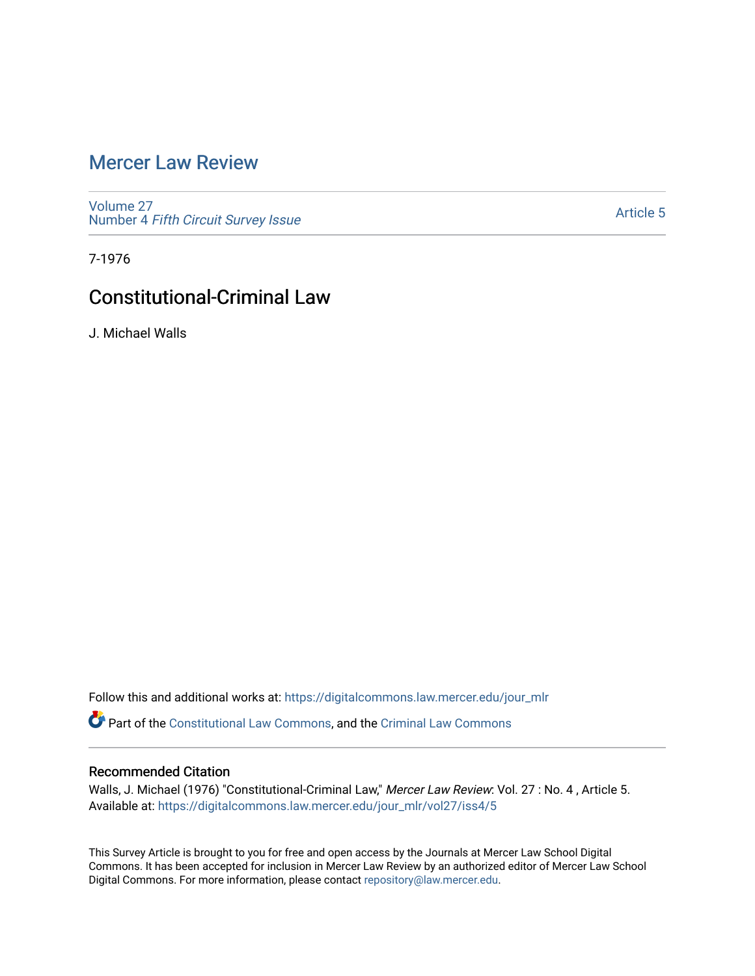# [Mercer Law Review](https://digitalcommons.law.mercer.edu/jour_mlr)

[Volume 27](https://digitalcommons.law.mercer.edu/jour_mlr/vol27) Number 4 [Fifth Circuit Survey Issue](https://digitalcommons.law.mercer.edu/jour_mlr/vol27/iss4) 

[Article 5](https://digitalcommons.law.mercer.edu/jour_mlr/vol27/iss4/5) 

7-1976

# Constitutional-Criminal Law

J. Michael Walls

Follow this and additional works at: [https://digitalcommons.law.mercer.edu/jour\\_mlr](https://digitalcommons.law.mercer.edu/jour_mlr?utm_source=digitalcommons.law.mercer.edu%2Fjour_mlr%2Fvol27%2Fiss4%2F5&utm_medium=PDF&utm_campaign=PDFCoverPages)

Part of the [Constitutional Law Commons,](http://network.bepress.com/hgg/discipline/589?utm_source=digitalcommons.law.mercer.edu%2Fjour_mlr%2Fvol27%2Fiss4%2F5&utm_medium=PDF&utm_campaign=PDFCoverPages) and the [Criminal Law Commons](http://network.bepress.com/hgg/discipline/912?utm_source=digitalcommons.law.mercer.edu%2Fjour_mlr%2Fvol27%2Fiss4%2F5&utm_medium=PDF&utm_campaign=PDFCoverPages)

## Recommended Citation

Walls, J. Michael (1976) "Constitutional-Criminal Law," Mercer Law Review: Vol. 27 : No. 4 , Article 5. Available at: [https://digitalcommons.law.mercer.edu/jour\\_mlr/vol27/iss4/5](https://digitalcommons.law.mercer.edu/jour_mlr/vol27/iss4/5?utm_source=digitalcommons.law.mercer.edu%2Fjour_mlr%2Fvol27%2Fiss4%2F5&utm_medium=PDF&utm_campaign=PDFCoverPages)

This Survey Article is brought to you for free and open access by the Journals at Mercer Law School Digital Commons. It has been accepted for inclusion in Mercer Law Review by an authorized editor of Mercer Law School Digital Commons. For more information, please contact [repository@law.mercer.edu](mailto:repository@law.mercer.edu).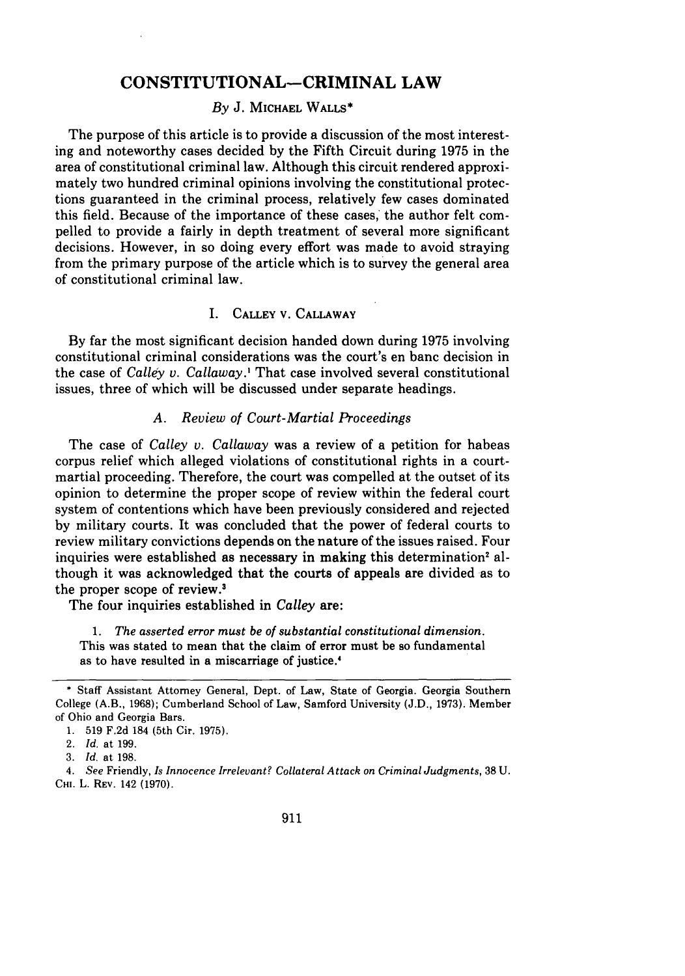## **CONSTITUTIONAL-CRIMINAL LAW**

#### *By* **J. MICHAEL WALLS\***

The purpose of this article is to provide a discussion of the most interesting and noteworthy cases decided **by** the Fifth Circuit during **1975** in the area of constitutional criminal law. Although this circuit rendered approximately two hundred criminal opinions involving the constitutional protections guaranteed in the criminal process, relatively few cases dominated this field. Because of the importance of these cases, the author felt compelled to provide a fairly in depth treatment of several more significant decisions. However, in so doing every effort was made to avoid straying from the primary purpose of the article which is to survey the general area of constitutional criminal law.

### I. CALLEY V. **CALLAWAY**

**By** far the most significant decision handed down during **1975** involving constitutional criminal considerations was the court's en banc decision in the case of *Calley v. Callaway.'* That case involved several constitutional issues, three of which will be discussed under separate headings.

#### *A. Review of Court-Martial Proceedings*

The case of *Calley v. Callaway* was a review of a petition for habeas corpus relief which alleged violations of constitutional rights in a courtmartial proceeding. Therefore, the court was compelled at the outset of its opinion to determine the proper scope of review within the federal court system of contentions which have been previously considered and rejected by military courts. It was concluded that the power of federal courts to review military convictions depends on the nature of the issues raised. Four inquiries were established as necessary in making this determination' although it was acknowledged that the courts of appeals are divided as to the proper scope of review.'

The four inquiries established in *Calley* are:

*1. The asserted error must be of substantial constitutional dimension.* This was stated to mean that the claim of error must be so fundamental as to have resulted in a miscarriage of justice.'

<sup>\*</sup> Staff Assistant Attorney General, Dept. of Law, State of Georgia. Georgia Southern College (A.B., 1968); Cumberland School of Law, Samford University (J.D., 1973). Member of Ohio and Georgia Bars.

<sup>1. 519</sup> F.2d 184 (5th Cir. 1975).

<sup>2.</sup> *Id.* at 199.

<sup>3.</sup> *Id.* at 198.

<sup>4.</sup> *See* Friendly, *Is Innocence Irrelevant? Collateral Attack on Criminal Judgments,* 38 U. **CHI.** L. REV. **142 (1970).**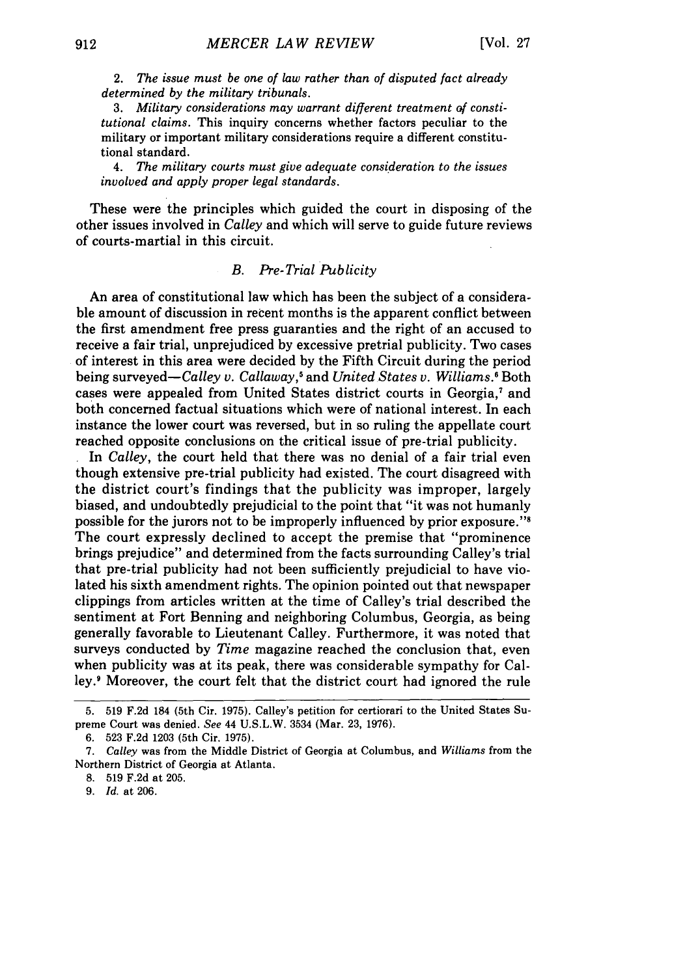*2. The issue must be one of law rather than of disputed fact already determined by the military tribunals.*

*3. Military considerations may warrant different treatment of constitutional claims.* This inquiry concerns whether factors peculiar to the military or important military considerations require a different constitutional standard.

4. *The military courts must give adequate consideration to the issues involved and apply proper legal standards.*

These were the principles which guided the court in disposing of the other issues involved in *Calley* and which will serve to guide future reviews of courts-martial in this circuit.

### *B. Pre-Trial Publicity*

An area of constitutional law which has been the subject of a considerable amount of discussion in recent months is the apparent conflict between the first amendment free press guaranties and the right of an accused to receive a fair trial, unprejudiced by excessive pretrial publicity. Two cases of interest in this area were decided by the Fifth Circuit during the period being surveyed—Calley *v.* Callaway,<sup>5</sup> and *United States v. Williams*.<sup>6</sup> Both cases were appealed from United States district courts in Georgia.<sup>7</sup> and both concerned factual situations which were of national interest. In each instance the lower court was reversed, but in so ruling the appellate court reached opposite conclusions on the critical issue of pre-trial publicity.

In *Calley,* the court held that there was no denial of a fair trial even though extensive pre-trial publicity had existed. The court disagreed with the district court's findings that the publicity was improper, largely biased, and undoubtedly prejudicial to the point that "it was not humanly possible for the jurors not to be improperly influenced by prior exposure."<sup>8</sup> The court expressly declined to accept the premise that "prominence brings prejudice" and determined from the facts surrounding Calley's trial that pre-trial publicity had not been sufficiently prejudicial to have violated his sixth amendment rights. The opinion pointed out that newspaper clippings from articles written at the time of Calley's trial described the sentiment at Fort Benning and neighboring Columbus, Georgia, as being generally favorable to Lieutenant Calley. Furthermore, it was noted that surveys conducted by *Time* magazine reached the conclusion that, even when publicity was at its peak, there was considerable sympathy for Calley.' Moreover, the court felt that the district court had ignored the rule

8. 519 F.2d at 205.

9. *Id.* at 206.

**<sup>5. 519</sup> F.2d** 184 (5th Cir. 1975). Calley's petition for certiorari to the United States Supreme Court was denied. *See* 44 U.S.L.W. 3534 (Mar. 23, 1976).

<sup>6. 523</sup> F.2d 1203 (5th Cir. 1975).

*<sup>7.</sup> Calley* was from the Middle District of Georgia at Columbus, and *Williams* from the Northern District of Georgia at Atlanta.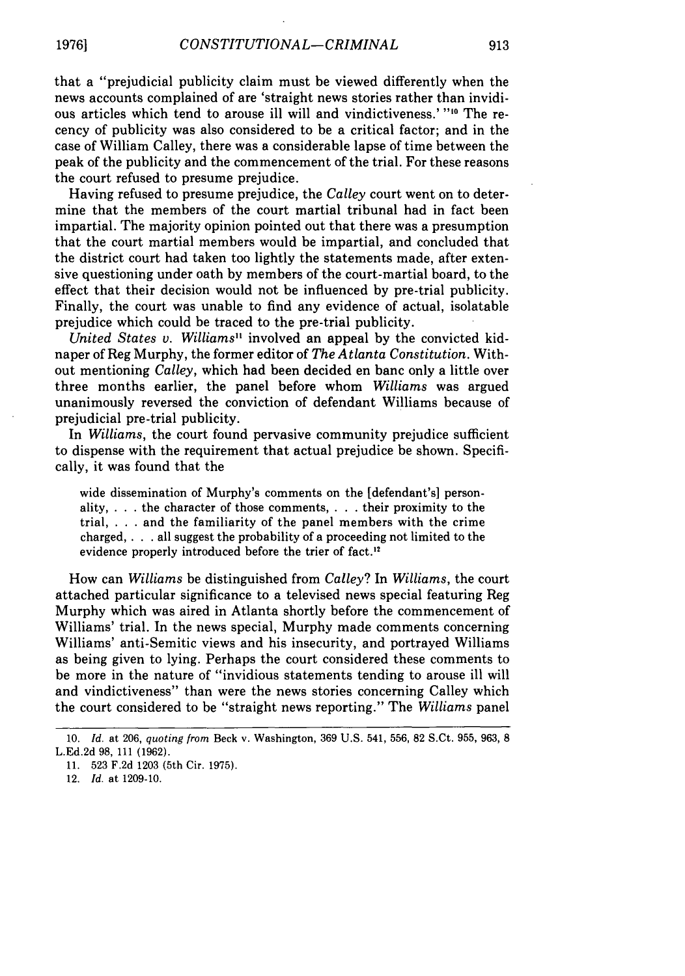that a "prejudicial publicity claim must be viewed differently when the news accounts complained of are 'straight news stories rather than invidious articles which tend to arouse ill will and vindictiveness.' **"10** The recency of publicity was also considered to be a critical factor; and in the case of William Calley, there was a considerable lapse of time between the peak of the publicity and the commencement of the trial. For these reasons the court refused to presume prejudice.

Having refused to presume prejudice, the *Calley* court went on to determine that the members of the court martial tribunal had in fact been impartial. The majority opinion pointed out that there was a presumption that the court martial members would be impartial, and concluded that the district court had taken too lightly the statements made, after extensive questioning under oath by members of the court-martial board, to the effect that their decision would not be influenced by pre-trial publicity. Finally, the court was unable to find any evidence of actual, isolatable prejudice which could be traced to the pre-trial publicity.

*United States v. Williams"* involved an appeal by the convicted kidnaper of Reg Murphy, the former editor of *The Atlanta Constitution.* Without mentioning *Calley,* which had been decided en banc only a little over three months earlier, the panel before whom *Williams* was argued unanimously reversed the conviction of defendant Williams because of prejudicial pre-trial publicity.

In *Williams,* the court found pervasive community prejudice sufficient to dispense with the requirement that actual prejudice be shown. Specifically, it was found that the

wide dissemination of Murphy's comments on the [defendant's] personality, . . . the character of those comments, . . . their proximity to the trial, . **.** .and the familiarity of the panel members with the crime charged, . **.** . all suggest the probability of a proceeding not limited to the evidence properly introduced before the trier of fact."

How can *Williams* be distinguished from *Calley?* In *Williams,* the court attached particular significance to a televised news special featuring Reg Murphy which was aired in Atlanta shortly before the commencement of Williams' trial. In the news special, Murphy made comments concerning Williams' anti-Semitic views and his insecurity, and portrayed Williams as being given to lying. Perhaps the court considered these comments to be more in the nature of "invidious statements tending to arouse ill will and vindictiveness" than were the news stories concerning Calley which the court considered to be "straight news reporting." The *Williams* panel

<sup>10.</sup> *Id.* at 206, *quoting from* Beck v. Washington, 369 U.S. 541, 556, 82 S.Ct. 955, 963, 8 L.Ed.2d 98, 111 (1962).

<sup>11. 523</sup> F.2d 1203 (5th Cir. 1975).

<sup>12.</sup> *Id.* at 1209-10.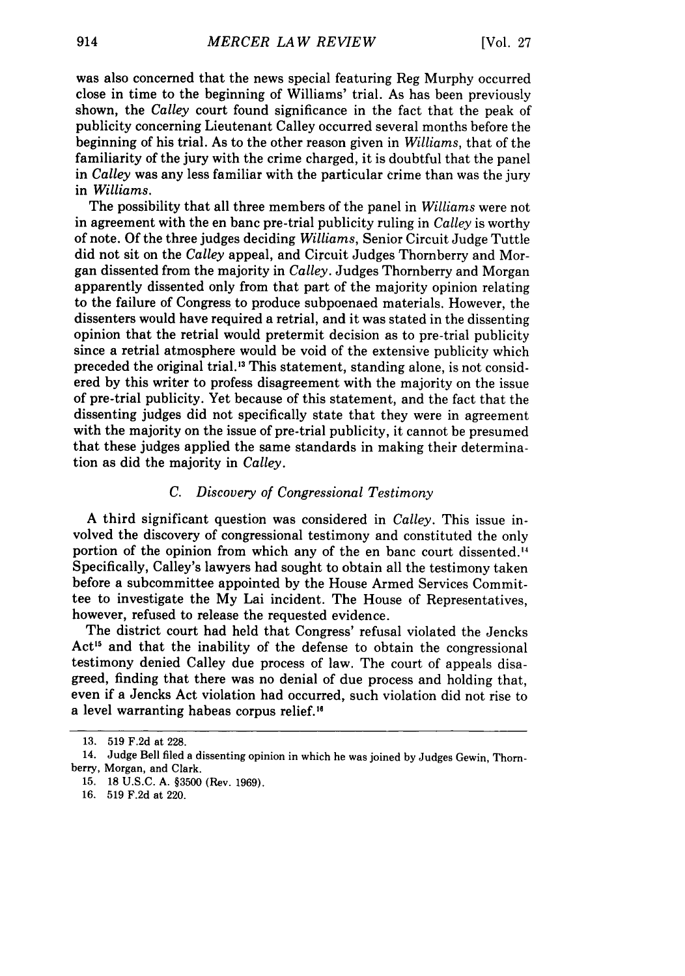was also concerned that the news special featuring Reg Murphy occurred close in time to the beginning of Williams' trial. As has been previously shown, the *Calley* court found significance in the fact that the peak of publicity concerning Lieutenant Calley occurred several months before the beginning of his trial. As to the other reason given in *Williams,* that of the familiarity of the jury with the crime charged, it is doubtful that the panel in *Calley* was any less familiar with the particular crime than was the jury in *Williams.*

The possibility that all three members of the panel in *Williams* were not in agreement with the en banc pre-trial publicity ruling in *Calley* is worthy of note. Of the three judges deciding *Williams,* Senior Circuit Judge Tuttle did not sit on the *Calley* appeal, and Circuit Judges Thornberry and Morgan dissented from the majority in *Calley.* Judges Thornberry and Morgan apparently dissented only from that part of the majority opinion relating to the failure of Congress to produce subpoenaed materials. However, the dissenters would have required a retrial, and it was stated in the dissenting opinion that the retrial would pretermit decision as to pre-trial publicity since a retrial atmosphere would be void of the extensive publicity which preceded the original trial.<sup>13</sup> This statement, standing alone, is not considered by this writer to profess disagreement with the majority on the issue of pre-trial publicity. Yet because of this statement, and the fact that the dissenting judges did not specifically state that they were in agreement with the majority on the issue of pre-trial publicity, it cannot be presumed that these judges applied the same standards in making their determination as did the majority in *Calley.*

### *C. Discovery of Congressional Testimony*

A third significant question was considered in *Calley.* This issue involved the discovery of congressional testimony and constituted the only portion of the opinion from which any of the en banc court dissented.'4 Specifically, Calley's lawyers had sought to obtain all the testimony taken before a subcommittee appointed by the House Armed Services Committee to investigate the My Lai incident. The House of Representatives, however, refused to release the requested evidence.

The district court had held that Congress' refusal violated the Jencks Act<sup>15</sup> and that the inability of the defense to obtain the congressional testimony denied Calley due process of law. The court of appeals disagreed, finding that there was no denial of due process and holding that, even if a Jencks Act violation had occurred, such violation did not rise to a level warranting habeas corpus relief."

<sup>13. 519</sup> F.2d at 228.

<sup>14.</sup> Judge Bell filed a dissenting opinion in which he was joined by Judges Gewin, Thornberry, Morgan, and Clark.

<sup>15. 18</sup> U.S.C. A. §3500 (Rev. 1969).

<sup>16. 519</sup> F.2d at 220.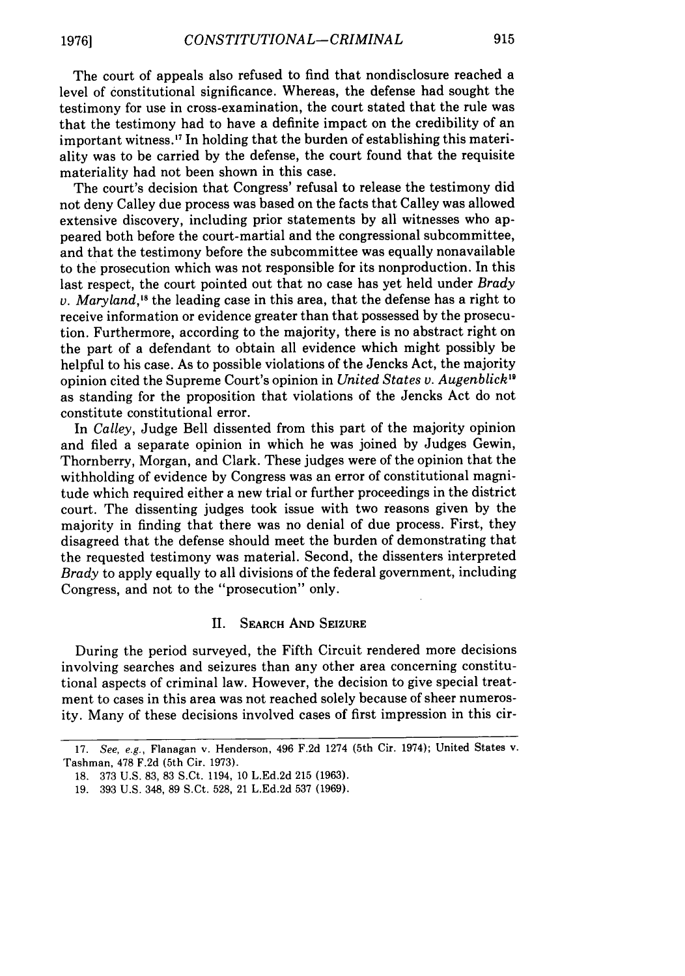The court of appeals also refused to find that nondisclosure reached a level of constitutional significance. Whereas, the defense had sought the testimony for use in cross-examination, the court stated that the rule was that the testimony had to have a definite impact on the credibility of an important witness.<sup>17</sup> In holding that the burden of establishing this materiality was to be carried by the defense, the court found that the requisite materiality had not been shown in this case.

The court's decision that Congress' refusal to release the testimony did not deny Calley due process was based on the facts that Calley was allowed extensive discovery, including prior statements by all witnesses who appeared both before the court-martial and the congressional subcommittee, and that the testimony before the subcommittee was equally nonavailable to the prosecution which was not responsible for its nonproduction. In this last respect, the court pointed out that no case has yet held under *Brady v. Maryland,'8* the leading case in this area, that the defense has a right to receive information or evidence greater than that possessed by the prosecution. Furthermore, according to the majority, there is no abstract right on the part of a defendant to obtain all evidence which might possibly be helpful to his case. As to possible violations of the Jencks Act, the majority opinion cited the Supreme Court's opinion in *United States v. Augenblick'9* as standing for the proposition that violations of the Jencks Act do not constitute constitutional error.

In *Calley,* Judge Bell dissented from this part of the majority opinion and filed a separate opinion in which he was joined by Judges Gewin, Thornberry, Morgan, and Clark. These judges were of the opinion that the withholding of evidence by Congress was an error of constitutional magnitude which required either a new trial or further proceedings in the district court. The dissenting judges took issue with two reasons given by the majority in finding that there was no denial of due process. First, they disagreed that the defense should meet the burden of demonstrating that the requested testimony was material. Second, the dissenters interpreted *Brady* to apply equally to all divisions of the federal government, including Congress, and not to the "prosecution" only.

#### **11.** SEARCH **AND** SEIZURE

During the period surveyed, the Fifth Circuit rendered more decisions involving searches and seizures than any other area concerning constitutional aspects of criminal law. However, the decision to give special treatment to cases in this area was not reached solely because of sheer numerosity. Many of these decisions involved cases of first impression in this cir-

<sup>17.</sup> See, e.g., Flanagan v. Henderson, 496 F.2d 1274 (5th Cir. 1974); United States v. Tashman, **478** F.2d (5th Cir. 1973).

<sup>18.</sup> **373** U.S. 83, **83** S.Ct. 1194, **10 L.Ed.2d 215 (1963).**

**<sup>19.</sup>** 393 U.S. 348, **89** S.Ct. 528, 21 L.Ed.2d **537** (1969).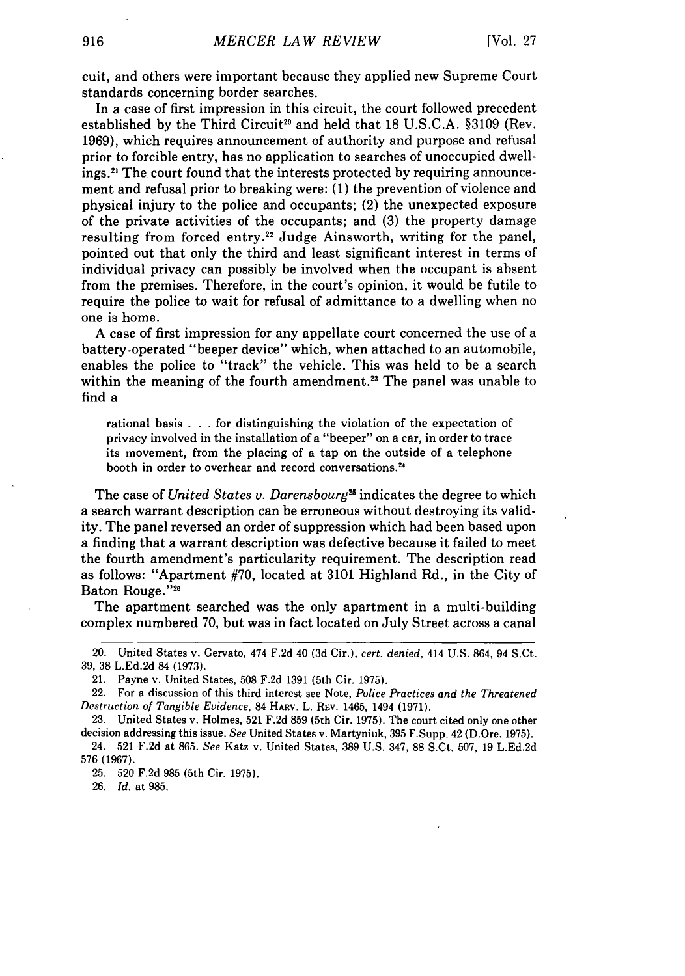cuit, and others were important because they applied new Supreme Court standards concerning border searches.

In a case of first impression in this circuit, the court followed precedent established by the Third Circuit<sup>20</sup> and held that  $18 \text{ U.S.C.A. }$  \$3109 (Rev. 1969), which requires announcement of authority and purpose and refusal prior to forcible entry, has no application to searches of unoccupied dwellings.<sup>21</sup> The court found that the interests protected by requiring announcement and refusal prior to breaking were: (1) the prevention of violence and physical injury to the police and occupants; (2) the unexpected exposure of the private activities of the occupants; and (3) the property damage resulting from forced entry.<sup>22</sup> Judge Ainsworth, writing for the panel, pointed out that only the third and least significant interest in terms of individual privacy can possibly be involved when the occupant is absent from the premises. Therefore, in the court's opinion, it would be futile to require the police to wait for refusal of admittance to a dwelling when no one is home.

A case of first impression for any appellate court concerned the use of a battery-operated "beeper device" which, when attached to an automobile, enables the police to "track" the vehicle. This was held to be a search within the meaning of the fourth amendment.<sup>23</sup> The panel was unable to find a

rational basis .. .for distinguishing the violation of the expectation of privacy involved in the installation of a "beeper" on a car, in order to trace its movement, from the placing of a tap on the outside of a telephone booth in order to overhear and record conversations.<sup>24</sup>

The case of *United States* v. *Darensbourg25* indicates the degree to which a search warrant description can be erroneous without destroying its validity. The panel reversed an order of suppression which had been based upon a finding that a warrant description was defective because it failed to meet the fourth amendment's particularity requirement. The description read as follows: "Apartment #70, located at 3101 Highland Rd., in the City of Baton Rouge."26

The apartment searched was the only apartment in a multi-building complex numbered 70, but was in fact located on July Street across a canal

21. Payne v. United States, 508 F.2d 1391 (5th Cir. 1975).

25. 520 F.2d 985 (5th Cir. 1975).

26. *Id.* at 985.

<sup>20.</sup> United States v. Gervato, 474 F.2d 40 (3d Cir.), *cert. denied,* 414 U.S. 864, 94 S.Ct. 39, 38 L.Ed.2d 84 (1973).

<sup>22.</sup> For a discussion of this third interest see Note, *Police Practices and the Threatened Destruction of Tangible Evidence,* 84 HAav. L. Rev. 1465, 1494 (1971).

<sup>23.</sup> United States v. Holmes, 521 F.2d 859 (5th Cir. 1975). The court cited only one other decision addressing this issue. *See* United States v. Martyniuk, 395 F.Supp. 42 (D.Ore. 1975).

<sup>24. 521</sup> F.2d at 865. *See* Katz v. United States, 389 U.S. 347, 88 S.Ct. 507, 19 L.Ed.2d 576 (1967).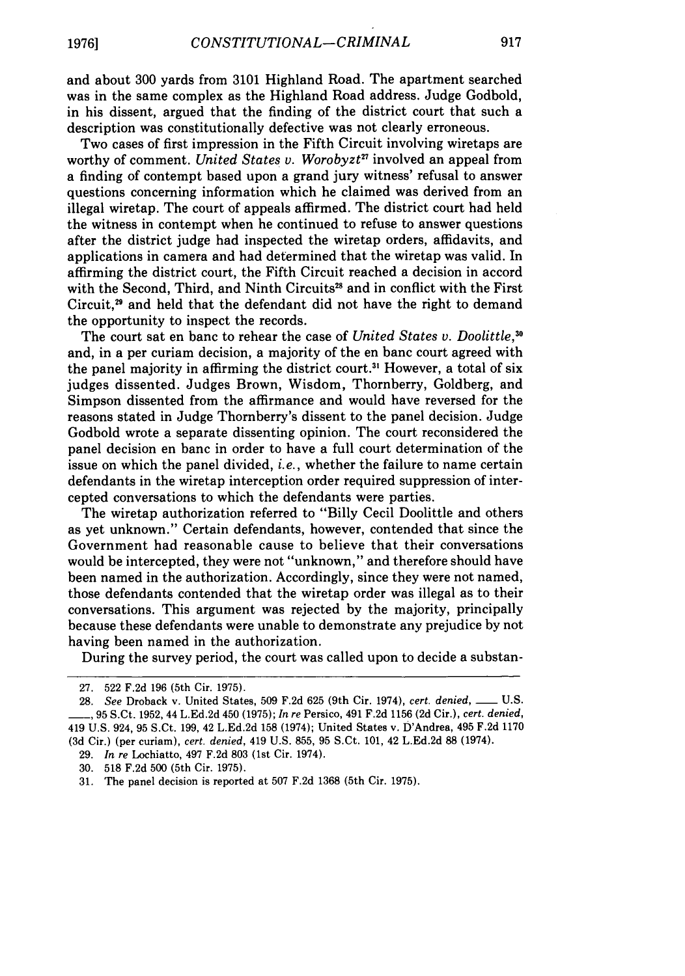and about 300 yards from 3101 Highland Road. The apartment searched was in the same complex as the Highland Road address. Judge Godbold, in his dissent, argued that the finding of the district court that such a description was constitutionally defective was not clearly erroneous.

Two cases of first impression in the Fifth Circuit involving wiretaps are worthy of comment. *United States v. Worobyzt"* involved an appeal from a finding of contempt based upon a grand jury witness' refusal to answer questions concerning information which he claimed was derived from an illegal wiretap. The court of appeals affirmed. The district court had held the witness in contempt when he continued to refuse to answer questions after the district judge had inspected the wiretap orders, affidavits, and applications in camera and had determined that the wiretap was valid. In affirming the district court, the Fifth Circuit reached a decision in accord with the Second, Third, and Ninth Circuits<sup>28</sup> and in conflict with the First Circuit,<sup>29</sup> and held that the defendant did not have the right to demand the opportunity to inspect the records.

The court sat en banc to rehear the case of *United States v. Doolittle,3 °* and, in a per curiam decision, a majority of the en banc court agreed with the panel majority in affirming the district court.<sup>31</sup> However, a total of six judges dissented. Judges Brown, Wisdom, Thornberry, Goldberg, and Simpson dissented from the affirmance and would have reversed for the reasons stated in Judge Thornberry's dissent to the panel decision. Judge Godbold wrote a separate dissenting opinion. The court reconsidered the panel decision en banc in order to have a full court determination of the issue on which the panel divided, *i.e.,* whether the failure to name certain defendants in the wiretap interception order required suppression of intercepted conversations to which the defendants were parties.

The wiretap authorization referred to "Billy Cecil Doolittle and others as yet unknown." Certain defendants, however, contended that since the Government had reasonable cause to believe that their conversations would be intercepted, they were not "unknown," and therefore should have been named in the authorization. Accordingly, since they were not named, those defendants contended that the wiretap order was illegal as to their conversations. This argument was rejected by the majority, principally because these defendants were unable to demonstrate any prejudice by not having been named in the authorization.

During the survey period, the court was called upon to decide a substan-

29. *In re* Lochiatto, 497 F.2d 803 (1st Cir. 1974).

<sup>27. 522</sup> F.2d 196 (5th Cir. 1975).

<sup>28.</sup> *See* Droback v. United States, 509 F.2d 625 (9th Cir. 1974), *cert. denied, \_\_* U.S. **\_\_** 95 S.Ct. 1952, 44 L.Ed.2d 450 (1975); *In re* Persico, 491 F.2d 1156 (2d Cir.), *cert. denied,* 419 U.S. 924, 95 S.Ct. 199, 42 L.Ed.2d 158 (1974); United States v. D'Andrea, 495 F.2d 1170 **(3d** Cir.) (per curiam), *cert. denied,* 419 U.S. 855, 95 S.Ct. 101, 42 L.Ed.2d 88 (1974).

<sup>30. 518</sup> F.2d 500 (5th Cir. 1975).

<sup>31.</sup> The panel decision is reported at 507 F.2d 1368 (5th Cir. 1975).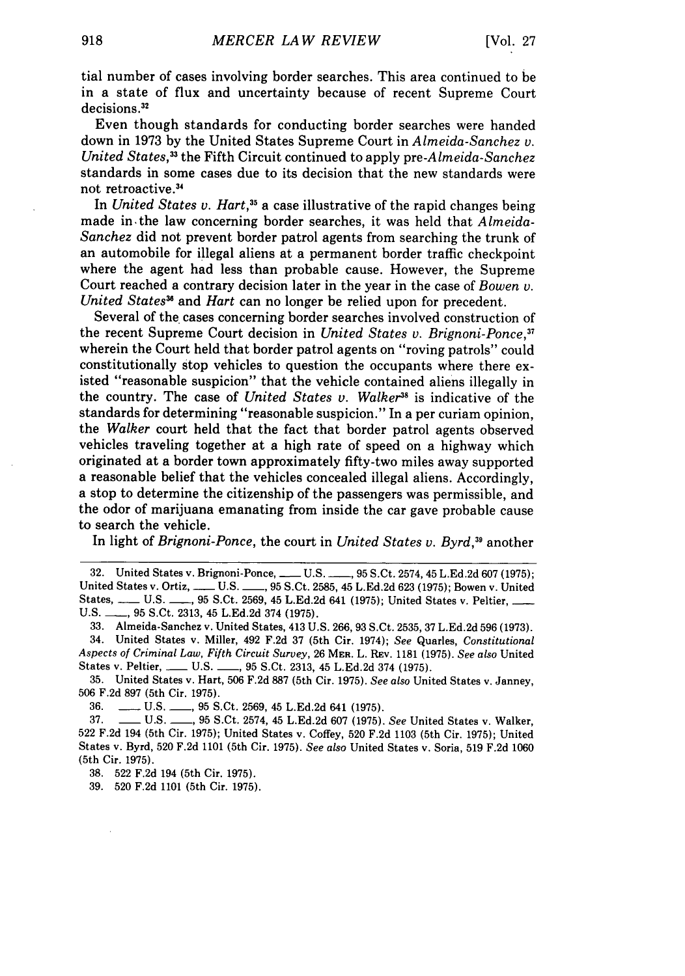tial number of cases involving border searches. This area continued to be in a state of flux and uncertainty because of recent Supreme Court decisions.<sup>32</sup>

Even though standards for conducting border searches were handed down in 1973 by the United States Supreme Court in *Almeida-Sanchez v. United States,33* the Fifth Circuit continued to apply *pre-Almeida-Sanchez* standards in some cases due to its decision that the new standards were not retroactive **. 3**

In *United States v. Hart*,<sup>35</sup> a case illustrative of the rapid changes being made in-the law concerning border searches, it was held that *Almeida-Sanchez* did not prevent border patrol agents from searching the trunk of an automobile for illegal aliens at a permanent border traffic checkpoint where the agent had less than probable cause. However, the Supreme Court reached a contrary decision later in the year in the case of *Bowen v. United States*<sup>36</sup> and *Hart* can no longer be relied upon for precedent.

Several of the cases concerning border searches involved construction of the recent Supreme Court decision in *United States v. Brignoni-Ponce,37* wherein the Court held that border patrol agents on "roving patrols" could constitutionally stop vehicles to question the occupants where there existed "reasonable suspicion" that the vehicle contained aliens illegally in the country. The case of *United States v. Walker*<sup>38</sup> is indicative of the standards for determining "reasonable suspicion." In a per curiam opinion, the *Walker* court held that the fact that border patrol agents observed vehicles traveling together at a high rate of speed on a highway which originated at a border town approximately fifty-two miles away supported a reasonable belief that the vehicles concealed illegal aliens. Accordingly, a stop to determine the citizenship of the passengers was permissible, and the odor of marijuana emanating from inside the car gave probable cause to search the vehicle.

In light of *Brignoni-Ponce,* the court in *United States v. Byrd,39* another

32. United States v. Brignoni-Ponce, **- U.S.** *,95* **S.** Ct. 2574, 45 L.Ed.2d 607 (1975); United States v. Ortiz, \_\_\_ U.S. \_\_\_, 95 S.Ct. 2585, 45 L.Ed.2d 623 (1975); Bowen v. United States, \_\_\_\_ U.S. \_\_\_, 95 S.Ct. 2569, 45 L.Ed.2d 641 (1975); United States v. Peltier, \_ **U.S. \_\_,** 95 S.Ct. 2313, 45 L.Ed.2d 374 (1975).

33. Almeida-Sanchez v. United States, 413 U.S. 266, 93 S.Ct. 2535, 37 L.Ed.2d 596 (1973). 34. United States v. Miller, 492 F.2d 37 (5th Cir. 1974); *See* Quarles, *Constitutional Aspects of Criminal Law, Fifth Circuit Survey,* 26 **MER.** L. REv. 1181 (1975). *See also* United States v. Peltier, \_\_\_\_ U.S. \_\_\_, 95 S.Ct. 2313, 45 L.Ed.2d 374 (1975).

35. United States v. Hart, 506 F.2d 887 (5th Cir. 1975). *See also* United States v. Janney, 506 F.2d 897 (5th Cir. 1975).

36. **-** U.S. **- U.S. 95 S.Ct. 2569, 45 L.Ed.2d 641 (1975).** 

37. \_\_ U.S. , 95 S.Ct. 2574, 45 L.Ed.2d 607 (1975). *See* United States v. Walker, 522 F.2d 194 (5th Cir. 1975); United States v. Coffey, 520 F.2d 1103 (5th Cir. 1975); United States v. Byrd, 520 F.2d 1101 (5th Cir. 1975). *See also* United States v. Soria, 519 F.2d 1060 (5th Cir. 1975).

38. 522 F.2d 194 (5th Cir. 1975).

39. 520 F.2d 1101 (5th Cir. 1975).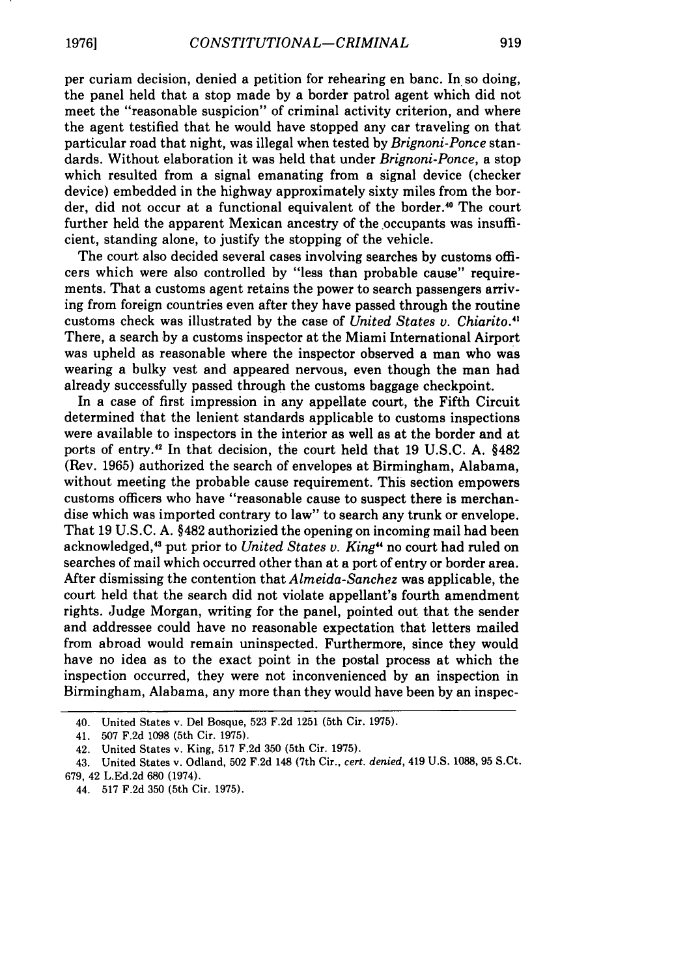per curiam decision, denied a petition for rehearing en banc. In so doing, the panel held that a stop made by a border patrol agent which did not meet the "reasonable suspicion" of criminal activity criterion, and where the agent testified that he would have stopped any car traveling on that particular road that night, was illegal when tested by *Brignoni-Ponce* standards. Without elaboration it was held that under *Brignoni-Ponce,* a stop which resulted from a signal emanating from a signal device (checker device) embedded in the highway approximately sixty miles from the border, did not occur at a functional equivalent of the border.<sup>40</sup> The court further held the apparent Mexican ancestry of the occupants was insufficient, standing alone, to justify the stopping of the vehicle.

The court also decided several cases involving searches by customs officers which were also controlled by "less than probable cause" requirements. That a customs agent retains the power to search passengers arriving from foreign countries even after they have passed through the routine customs check was illustrated by the case of *United States v. Chiarito."* There, a search by a customs inspector at the Miami International Airport was upheld as reasonable where the inspector observed a man who was wearing a bulky vest and appeared nervous, even though the man had already successfully passed through the customs baggage checkpoint.

In a case of first impression in any appellate court, the Fifth Circuit determined that the lenient standards applicable to customs inspections were available to inspectors in the interior as well as at the border and at ports of entry." In that decision, the court held that 19 U.S.C. A. §482 (Rev. 1965) authorized the search of envelopes at Birmingham, Alabama, without meeting the probable cause requirement. This section empowers customs officers who have "reasonable cause to suspect there is merchandise which was imported contrary to law" to search any trunk or envelope. That 19 U.S.C. A. §482 authorizied the opening on incoming mail had been acknowledged,43 put prior to *United States v. King"* no court had ruled on searches of mail which occurred other than at a port of entry or border area. After dismissing the contention that *Almeida-Sanchez* was applicable, the court held that the search did not violate appellant's fourth amendment rights. Judge Morgan, writing for the panel, pointed out that the sender and addressee could have no reasonable expectation that letters mailed from abroad would remain uninspected. Furthermore, since they would have no idea as to the exact point in the postal process at which the inspection occurred, they were not inconvenienced by an inspection in Birmingham, Alabama, any more than they would have been by an inspec-

<sup>40.</sup> United States v. Del Bosque, 523 F.2d 1251 (5th Cir. 1975).

<sup>41. 507</sup> F.2d 1098 (5th Cir. 1975).

<sup>42.</sup> United States v. King, 517 F.2d 350 (5th Cir. 1975).

<sup>43.</sup> United States v. Odland, 502 F.2d 148 (7th Cir., *cert. denied,* 419 U.S. 1088, 95 S.Ct. 679, 42 L.Ed.2d 680 (1974).

<sup>44. 517</sup> F.2d 350 (5th Cir. 1975).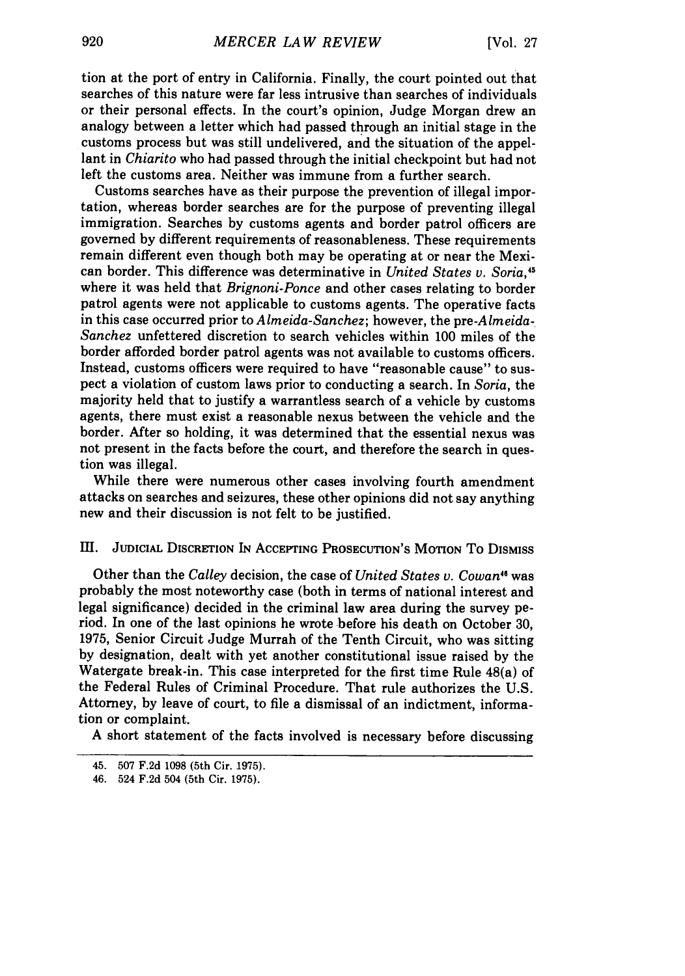tion at the port of entry in California. Finally, the court pointed out that searches of this nature were far less intrusive than searches of individuals or their personal effects. In the court's opinion, Judge Morgan drew an analogy between a letter which had passed through an initial stage in the customs process but was still undelivered, and the situation of the appellant in *Chiarito* who had passed through the initial checkpoint but had not left the customs area. Neither was immune from a further search.

Customs searches have as their purpose the prevention of illegal importation, whereas border searches are for the purpose of preventing illegal immigration. Searches **by** customs agents and border patrol officers are governed **by** different requirements of reasonableness. These requirements remain different even though both may be operating at or near the Mexican border. This difference was determinative in *United States v. Soria,45* where it was held that *Brignoni-Ponce* and other cases relating to border patrol agents were not applicable to customs agents. The operative facts in this case occurred prior to *Almeida-Sanchez;* however, the *pre-Almeida-Sanchez* unfettered discretion to search vehicles within **100** miles of the border afforded border patrol agents was not available to customs officers. Instead, customs officers were required to have "reasonable cause" to suspect a violation of custom laws prior to conducting a search. In *Soria,* the majority held that to justify a warrantless search of a vehicle **by** customs agents, there must exist a reasonable nexus between the vehicle and the border. **After** so holding, it was determined that the essential nexus was not present in the facts before the court, and therefore the search in question was illegal.

While there were numerous other cases involving fourth amendment attacks on searches and seizures, these other opinions did not say anything new and their discussion is not felt to be justified.

## Ill. JuDIcIAL DISCRErION **IN AcCEPTING** PROSEcurION'S **MOTION** To DISMISS

Other than the *Calley* decision, the case of *United States v. Cowan"* was probably the most noteworthy case (both in terms of national interest and legal significance) decided in the criminal law area during the survey period. In one of the last opinions he wrote before his death on October **30, 1975,** Senior Circuit Judge Murrah of the Tenth Circuit, who was sitting **by** designation, dealt with yet another constitutional issue raised **by** the Watergate break-in. This case interpreted for the first time Rule 48(a) of the Federal Rules of Criminal Procedure. That rule authorizes the U.S. Attorney, by leave of court, to file a dismissal of an indictment, information or complaint.

A short statement of the facts involved is necessary before discussing

<sup>45.</sup> **507 F.2d 1098** (5th Cir. **1975).**

<sup>46. 524</sup> **F.2d** 504 (5th Cir. **1975).**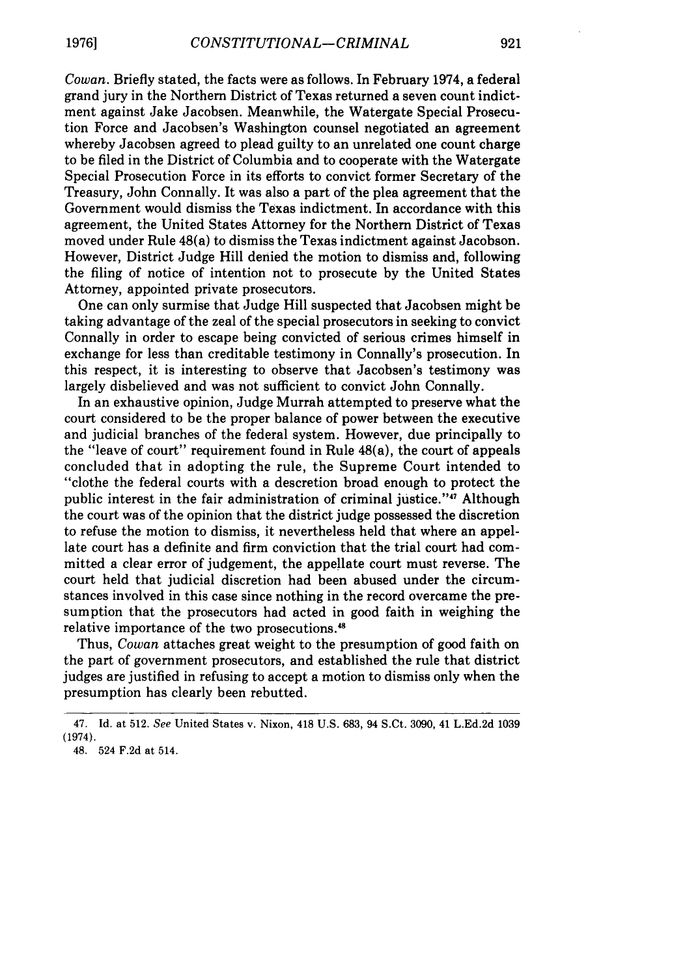*Cowan.* Briefly stated, the facts were as follows. In February 1974, a federal grand jury in the Northern District of Texas returned a seven count indictment against Jake Jacobsen. Meanwhile, the Watergate Special Prosecution Force and Jacobsen's Washington counsel negotiated an agreement whereby Jacobsen agreed to plead guilty to an unrelated one count charge to be filed in the District of Columbia and to cooperate with the Watergate Special Prosecution Force in its efforts to convict former Secretary of the Treasury, John Connally. It was also a part of the plea agreement that the Government would dismiss the Texas indictment. In accordance with this agreement, the United States Attorney for the Northern District of Texas moved under Rule 48(a) to dismiss the Texas indictment against Jacobson. However, District Judge Hill denied the motion to dismiss and, following the filing of notice of intention not to prosecute by the United States Attorney, appointed private prosecutors.

One can only surmise that Judge Hill suspected that Jacobsen might be taking advantage of the zeal of the special prosecutors in seeking to convict Connally in order to escape being convicted of serious crimes himself in exchange for less than creditable testimony in Connally's prosecution. In this respect, it is interesting to observe that Jacobsen's testimony was largely disbelieved and was not sufficient to convict John Connally.

In an exhaustive opinion, Judge Murrah attempted to preserve what the court considered to be the proper balance of power between the executive and judicial branches of the federal system. However, due principally to the "leave of court" requirement found in Rule 48(a), the court of appeals concluded that in adopting the rule, the Supreme Court intended to "clothe the federal courts with a descretion broad enough to protect the public interest in the fair administration of criminal justice."<sup>47</sup> Although the court was of the opinion that the district judge possessed the discretion to refuse the motion to dismiss, it nevertheless held that where an appellate court has a definite and firm conviction that the trial court had committed a clear error of judgement, the appellate court must reverse. The court held that judicial discretion had been abused under the circumstances involved in this case since nothing in the record overcame the presumption that the prosecutors had acted in good faith in weighing the relative importance of the two prosecutions."8

Thus, *Cowan* attaches great weight to the presumption of good faith on the part of government prosecutors, and established the rule that district judges are justified in refusing to accept a motion to dismiss only when the presumption has clearly been rebutted.

<sup>47.</sup> Id. at 512. See United States v. Nixon, 418 U.S. 683, 94 S.Ct. 3090, 41 L.Ed.2d 1039 (1974).

<sup>48. 524</sup> F.2d at 514.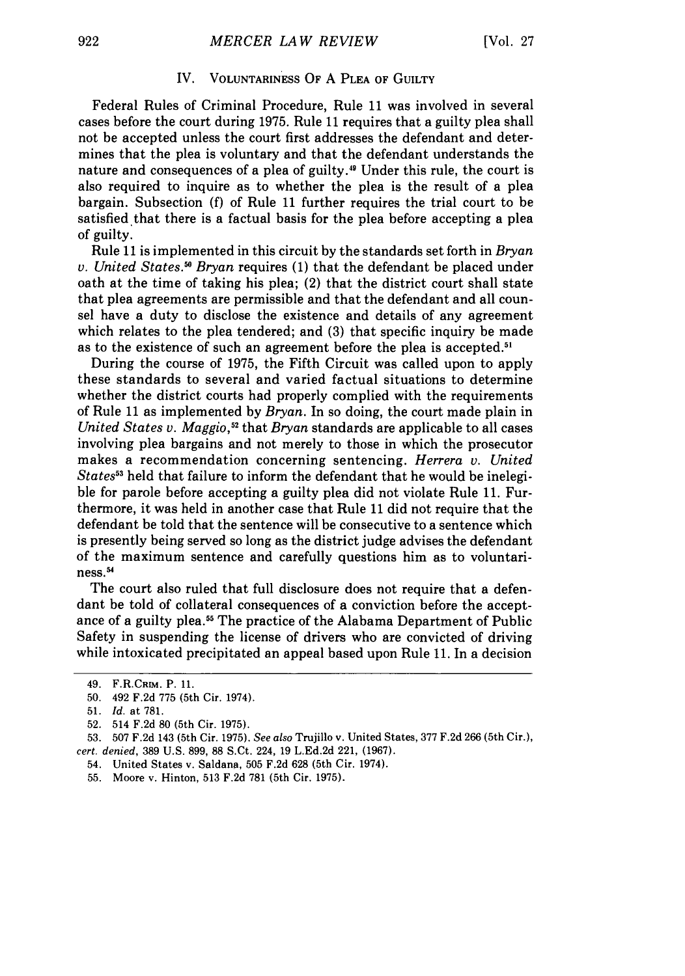#### IV. VOLUNTARINESS **OF A PLEA OF GUILTY**

Federal Rules of Criminal Procedure, Rule **11** was involved in several cases before the court during **1975.** Rule **11** requires that a guilty plea shall not be accepted unless the court first addresses the defendant and determines that the plea is voluntary and that the defendant understands the nature and consequences of a plea of guilty.49 Under this rule, the court is also required to inquire as to whether the plea is the result of a plea bargain. Subsection **(f)** of Rule **11** further requires the trial court to be satisfied that there is a factual basis for the plea before accepting a plea **of** guilty.

Rule **11** is implemented in this circuit **by** the standards set forth in *Bryan v. United States." Bryan* requires **(1)** that the defendant be placed under oath at the time of taking his plea; (2) that the district court shall state that plea agreements are permissible and that the defendant and all counsel have a duty to disclose the existence and details of any agreement which relates to the plea tendered; and (3) that specific inquiry be made as to the existence of such an agreement before the plea is accepted.<sup>51</sup>

During the course of 1975, the Fifth Circuit was called upon to apply these standards to several and varied factual situations to determine whether the district courts had properly complied with the requirements of Rule 11 as implemented by *Bryan.* In so doing, the court made plain in United States v. Maggio,<sup>52</sup> that *Bryan* standards are applicable to all cases involving plea bargains and not merely to those in which the prosecutor makes a recommendation concerning sentencing. *Herrera v. United States"* held that failure to inform the defendant that he would be inelegible for parole before accepting a guilty plea did not violate Rule 11. Furthermore, it was held in another case that Rule 11 did not require that the defendant be told that the sentence will be consecutive to a sentence which is presently being served so long as the district judge advises the defendant of the maximum sentence and carefully questions him as to voluntariness.<sup>54</sup>

The court also ruled that full disclosure does not require that a defendant be told of collateral consequences of a conviction before the acceptance of a guilty plea. 5 The practice of the Alabama Department of Public Safety in suspending the license of drivers who are convicted of driving while intoxicated precipitated an appeal based upon Rule 11. In a decision

<sup>49.</sup> F.R.CRIM. **P. 11.**

**<sup>50.</sup>** 492 **F.2d** 775 (5th Cir. 1974).

<sup>51.</sup> *Id.* at 781.

<sup>52. 514</sup> F.2d 80 (5th Cir. 1975).

**<sup>53. 507</sup> F.2d** 143 (5th Cir. 1975). *See also* Trujillo v. United States, 377 F.2d 266 (5th Cir.), *cert. denied,* 389 U.S. 899, 88 S.Ct. 224, 19 L.Ed.2d 221, **(1967).**

<sup>54.</sup> United States v. Saldana, 505 F.2d 628 (5th Cir. 1974).

<sup>55.</sup> Moore v. Hinton, 513 F.2d 781 (5th Cir. 1975).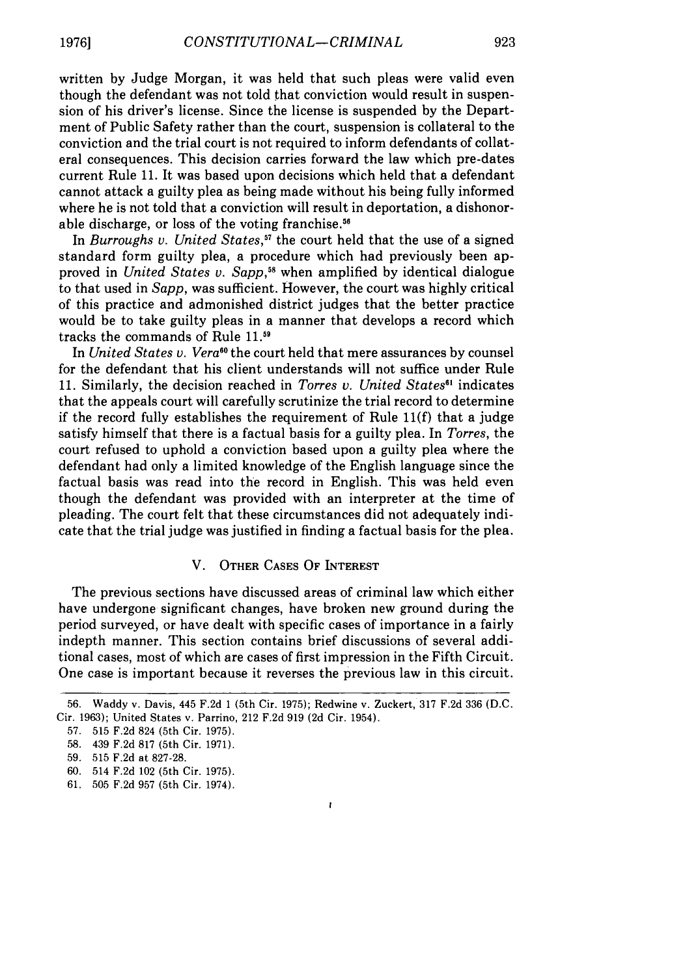written by Judge Morgan, it was held that such pleas were valid even though the defendant was not told that conviction would result in suspension of his driver's license. Since the license is suspended by the Department of Public Safety rather than the court, suspension is collateral to the conviction and the trial court is not required to inform defendants of collateral consequences. This decision carries forward the law which pre-dates current Rule 11. It was based upon decisions which held that a defendant cannot attack a guilty plea as being made without his being fully informed where he is not told that a conviction will result in deportation, a dishonorable discharge, or loss of the voting franchise.<sup>56</sup>

In *Burroughs v. United States*,<sup>57</sup> the court held that the use of a signed standard form guilty plea, a procedure which had previously been approved in *United States v. Sapp,58* when amplified by identical dialogue to that used in *Sapp,* was sufficient. However, the court was highly critical of this practice and admonished district judges that the better practice would be to take guilty pleas in a manner that develops a record which tracks the commands of Rule **11.19**

In *United States v. Vera*<sup>60</sup> the court held that mere assurances by counsel for the defendant that his client understands will not suffice under Rule 11. Similarly, the decision reached in *Torres v. United States*<sup>61</sup> indicates that the appeals court will carefully scrutinize the trial record to determine if the record fully establishes the requirement of Rule **11(f)** that a judge satisfy himself that there is a factual basis for a guilty plea. In *Torres,* the court refused to uphold a conviction based upon a guilty plea where the defendant had only a limited knowledge of the English language since the factual basis was read into the record in English. This was held even though the defendant was provided with an interpreter at the time of pleading. The court felt that these circumstances did not adequately indicate that the trial judge was justified in finding a factual basis for the plea.

#### V. OTHER **CASES** OF INTEREST

The previous sections have discussed areas of criminal law which either have undergone significant changes, have broken new ground during the period surveyed, or have dealt with specific cases of importance in a fairly indepth manner. This section contains brief discussions of several additional cases, most of which are cases of first impression in the Fifth Circuit. One case is important because it reverses the previous law in this circuit.

Ł

**59. 515** F.2d at 827-28.

<sup>56.</sup> Waddy v. Davis, 445 F.2d 1 (5th Cir. **1975);** Redwine v. Zuckert, **317** F.2d **336** (D.C. Cir. 1963); United States v. Parrino, 212 F.2d **919 (2d** Cir. 1954).

**<sup>57. 515</sup>** F.2d 824 (5th Cir. 1975).

**<sup>58.</sup>** 439 F.2d 817 (5th Cir. 1971).

<sup>60. 514</sup> F.2d 102 (5th Cir. 1975).

<sup>61. 505</sup> F.2d **957** (5th Cir. 1974).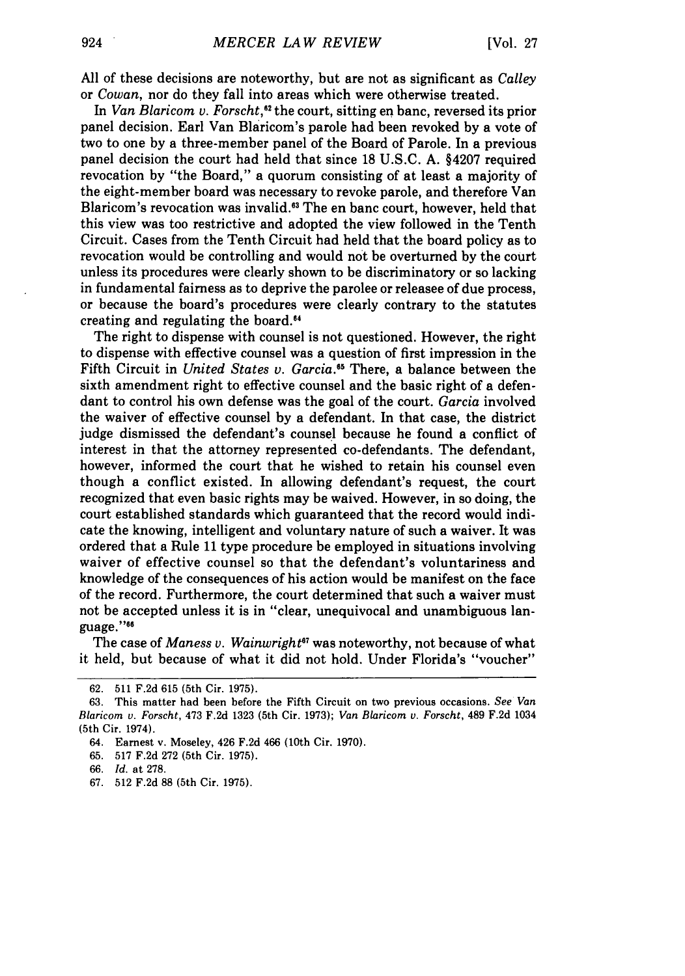All of these decisions are noteworthy, but are not as significant as *Calley* or *Cowan,* nor do they fall into areas which were otherwise treated.

In *Van Blaricom v. Forscht,"* the court, sitting en banc, reversed its prior panel decision. Earl Van Blaricom's parole had been revoked by a vote of two to one by a three-member panel of the Board of Parole. In a previous panel decision the court had held that since 18 U.S.C. A. §4207 required revocation by "the Board," a quorum consisting of at least a majority of the eight-member board was necessary to revoke parole, and therefore Van Blaricom's revocation was invalid.<sup>63</sup> The en banc court, however, held that this view was too restrictive and adopted the view followed in the Tenth Circuit. Cases from the Tenth Circuit had held that the board policy as to revocation would be controlling and would not be overturned by the court unless its procedures were clearly shown to be discriminatory or so lacking in fundamental fairness as to deprive the parolee or releasee of due process, or because the board's procedures were clearly contrary to the statutes creating and regulating the board."4

The right to dispense with counsel is not questioned. However, the right to dispense with effective counsel was a question of first impression in the Fifth Circuit in *United States v. Garcia."* There, a balance between the sixth amendment right to effective counsel and the basic right of a defendant to control his own defense was the goal of the court. *Garcia* involved the waiver of effective counsel by a defendant. In that case, the district judge dismissed the defendant's counsel because he found a conflict of interest in that the attorney represented co-defendants. The defendant, however, informed the court that he wished to retain his counsel even though a conflict existed. In allowing defendant's request, the court recognized that even basic rights may be waived. However, in so doing, the court established standards which guaranteed that the record would indicate the knowing, intelligent and voluntary nature of such a waiver. It was ordered that a Rule 11 type procedure be employed in situations involving waiver of effective counsel so that the defendant's voluntariness and knowledge of the consequences of his action would be manifest on the face of the record. Furthermore, the court determined that such a waiver must not be accepted unless it is in "clear, unequivocal and unambiguous language."66

The case of *Maness v. Wainwright<sup>67</sup>* was noteworthy, not because of what it held, but because of what it did not hold. Under Florida's "voucher"

<sup>62. 511</sup> F.2d 615 (5th Cir. 1975).

<sup>63.</sup> This matter had been before the Fifth Circuit on two previous occasions. *See Van Blaricom v. Forscht,* 473 F.2d 1323 (5th Cir. 1973); *Van Blaricorn v. Forscht,* 489 F.2d 1034 (5th Cir. 1974).

<sup>64.</sup> Earnest v. Moseley, 426 F.2d 466 (10th Cir. 1970).

<sup>65. 517</sup> F.2d 272 (5th Cir. 1975).

<sup>66.</sup> *Id.* at 278.

<sup>67. 512</sup> F.2d 88 (5th Cir. 1975).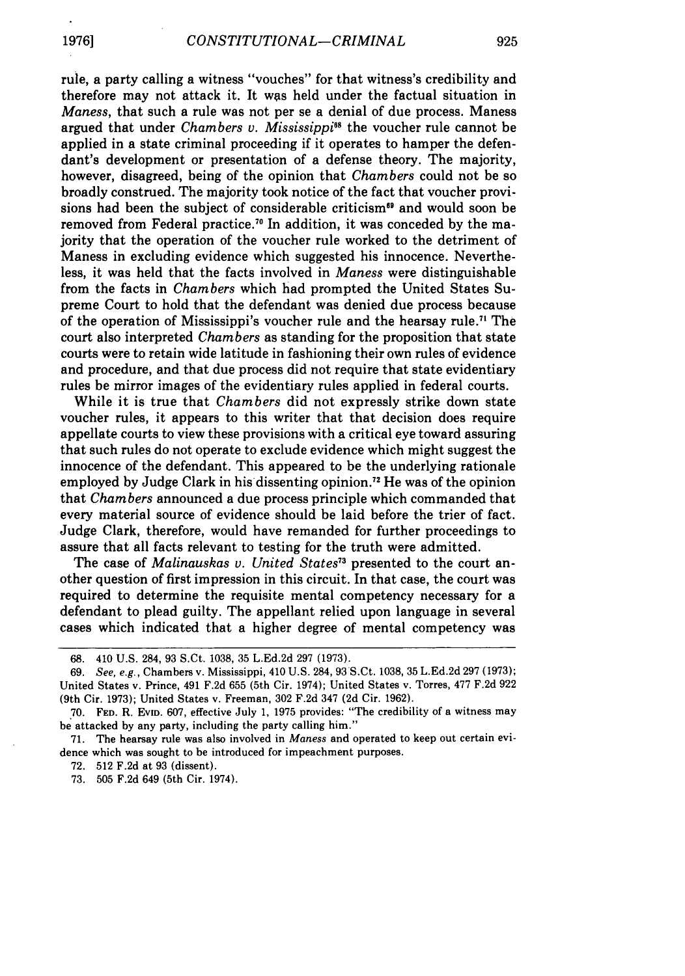rule, a party calling a witness "vouches" for that witness's credibility and therefore may not attack it. It was held under the factual situation in *Maness,* that such a rule was not per se a denial of due process. Maness argued that under *Chambers v. Mississippi"8* the voucher rule cannot be applied in a state criminal proceeding if it operates to hamper the defendant's development or presentation of a defense theory. The majority, however, disagreed, being of the opinion that *Chambers* could not be so broadly construed. The majority took notice of the fact that voucher provisions had been the subject of considerable criticism<sup>69</sup> and would soon be removed from Federal practice.<sup>70</sup> In addition, it was conceded by the majority that the operation of the voucher rule worked to the detriment of Maness in excluding evidence which suggested his innocence. Nevertheless, it was held that the facts involved in *Maness* were distinguishable from the facts in *Chambers* which had prompted the United States Supreme Court to hold that the defendant was denied due process because of the operation of Mississippi's voucher rule and the hearsay rule." The court also interpreted *Chambers* as standing for the proposition that state courts were to retain wide latitude in fashioning their own rules of evidence and procedure, and that due process did not require that state evidentiary rules be mirror images of the evidentiary rules applied in federal courts.

While it is true that *Chambers* did not expressly strike down state voucher rules, it appears to this writer that that decision does require appellate courts to view these provisions with a critical eye toward assuring that such rules do not operate to exclude evidence which might suggest the innocence of the defendant. This appeared to be the underlying rationale employed by Judge Clark in his dissenting opinion." He was of the opinion that *Chambers* announced a due process principle which commanded that every material source of evidence should be laid before the trier of fact. Judge Clark, therefore, would have remanded for further proceedings to assure that all facts relevant to testing for the truth were admitted.

The case of *Malinauskas v. United States73* presented to the court another question of first impression in this circuit. In that case, the court was required to determine the requisite mental competency necessary for a defendant to plead guilty. The appellant relied upon language in several cases which indicated that a higher degree of mental competency was

**1976]**

<sup>68. 410</sup> U.S. 284, 93 S.Ct. 1038, 35 L.Ed.2d 297 (1973).

<sup>69.</sup> *See, e.g.,* Chambers v. Mississippi, 410 U.S. 284, 93 S.Ct. 1038, 35 L.Ed.2d 297 (1973); United States v. Prince, 491 F.2d 655 (5th Cir. 1974); United States v. Torres, 477 F.2d 922 (9th Cir. 1973); United States v. Freeman, 302 F.2d 347 **(2d** Cir. 1962).

**<sup>70.</sup> FED.** R. **EvID.** 607, effective July 1, 1975 provides: "The credibility of a witness may be attacked by any party, including the party calling him."

<sup>71.</sup> The hearsay rule was also involved in *Maness* and operated to keep out certain evidence which was sought to be introduced for impeachment purposes.

<sup>72. 512</sup> F.2d at 93 (dissent).

<sup>73. 505</sup> F.2d 649 (5th Cir. 1974).